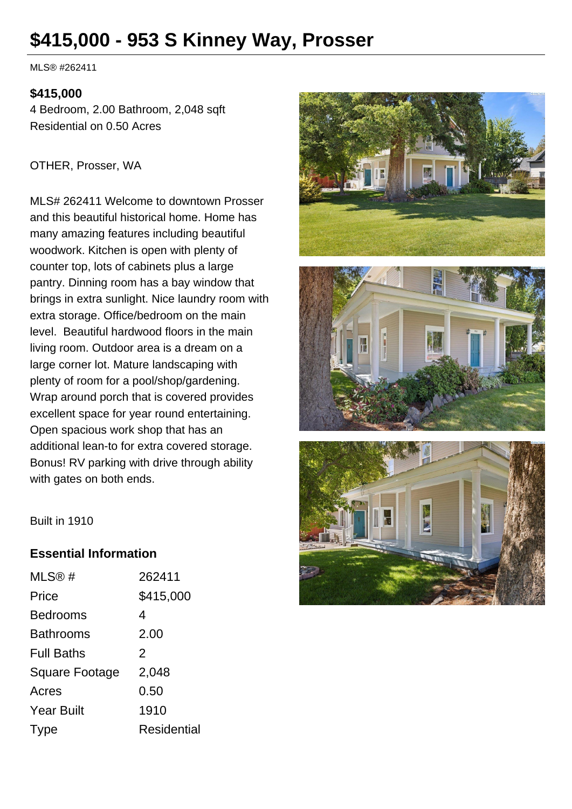# **\$415,000 - 953 S Kinney Way, Prosser**

MLS® #262411

#### **\$415,000**

4 Bedroom, 2.00 Bathroom, 2,048 sqft Residential on 0.50 Acres

OTHER, Prosser, WA

MLS# 262411 Welcome to downtown Prosser and this beautiful historical home. Home has many amazing features including beautiful woodwork. Kitchen is open with plenty of counter top, lots of cabinets plus a large pantry. Dinning room has a bay window that brings in extra sunlight. Nice laundry room with extra storage. Office/bedroom on the main level. Beautiful hardwood floors in the main living room. Outdoor area is a dream on a large corner lot. Mature landscaping with plenty of room for a pool/shop/gardening. Wrap around porch that is covered provides excellent space for year round entertaining. Open spacious work shop that has an additional lean-to for extra covered storage. Bonus! RV parking with drive through ability with gates on both ends.







Built in 1910

#### **Essential Information**

| MLS@#             | 262411             |
|-------------------|--------------------|
| Price             | \$415,000          |
| Bedrooms          | 4                  |
| Bathrooms         | 2.00               |
| <b>Full Baths</b> | $\mathcal{P}$      |
| Square Footage    | 2,048              |
| Acres             | 0.50               |
| <b>Year Built</b> | 1910               |
| Type              | <b>Residential</b> |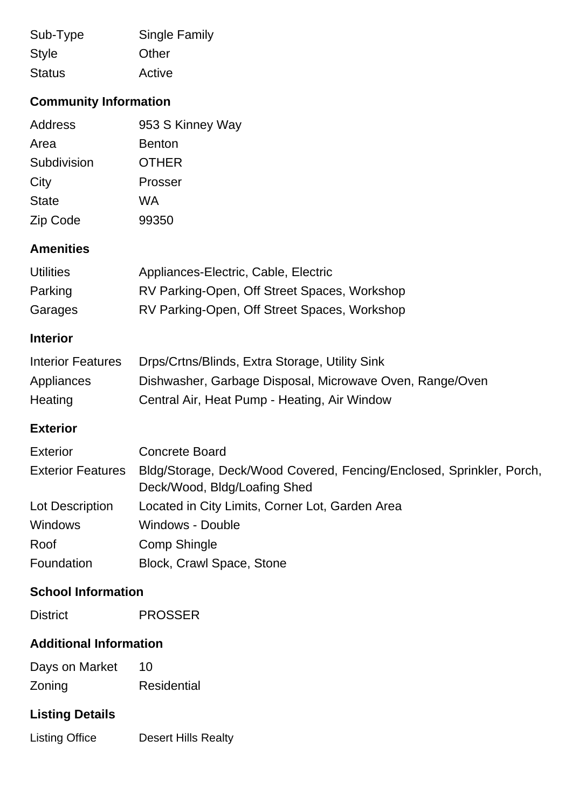| Sub-Type      | <b>Single Family</b> |
|---------------|----------------------|
| <b>Style</b>  | Other                |
| <b>Status</b> | Active               |

## **Community Information**

| Address      | 953 S Kinney Way |
|--------------|------------------|
| Area         | <b>Benton</b>    |
| Subdivision  | <b>OTHER</b>     |
| City         | Prosser          |
| <b>State</b> | WA               |
| Zip Code     | 99350            |

### **Amenities**

| <b>Utilities</b> | Appliances-Electric, Cable, Electric         |
|------------------|----------------------------------------------|
| Parking          | RV Parking-Open, Off Street Spaces, Workshop |
| Garages          | RV Parking-Open, Off Street Spaces, Workshop |

#### **Interior**

| <b>Interior Features</b> | Drps/Crtns/Blinds, Extra Storage, Utility Sink           |
|--------------------------|----------------------------------------------------------|
| Appliances               | Dishwasher, Garbage Disposal, Microwave Oven, Range/Oven |
| Heating                  | Central Air, Heat Pump - Heating, Air Window             |

#### **Exterior**

| <b>Exterior</b>          | <b>Concrete Board</b>                                                                                |
|--------------------------|------------------------------------------------------------------------------------------------------|
| <b>Exterior Features</b> | Bldg/Storage, Deck/Wood Covered, Fencing/Enclosed, Sprinkler, Porch,<br>Deck/Wood, Bldg/Loafing Shed |
| Lot Description          | Located in City Limits, Corner Lot, Garden Area                                                      |
| <b>Windows</b>           | Windows - Double                                                                                     |
| Roof                     | Comp Shingle                                                                                         |
| Foundation               | Block, Crawl Space, Stone                                                                            |

#### **School Information**

District PROSSER

#### **Additional Information**

| Days on Market | 10                 |
|----------------|--------------------|
| Zoning         | <b>Residential</b> |

# **Listing Details**

Listing Office Desert Hills Realty